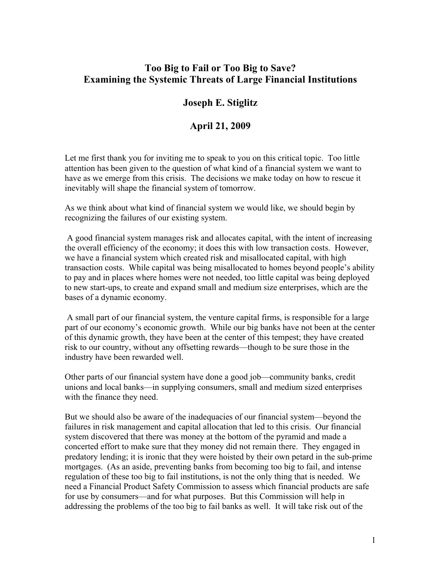## **Too Big to Fail or Too Big to Save? Examining the Systemic Threats of Large Financial Institutions**

## **Joseph E. Stiglitz**

## **April 21, 2009**

Let me first thank you for inviting me to speak to you on this critical topic. Too little attention has been given to the question of what kind of a financial system we want to have as we emerge from this crisis. The decisions we make today on how to rescue it inevitably will shape the financial system of tomorrow.

As we think about what kind of financial system we would like, we should begin by recognizing the failures of our existing system.

 A good financial system manages risk and allocates capital, with the intent of increasing the overall efficiency of the economy; it does this with low transaction costs. However, we have a financial system which created risk and misallocated capital, with high transaction costs. While capital was being misallocated to homes beyond people's ability to pay and in places where homes were not needed, too little capital was being deployed to new start-ups, to create and expand small and medium size enterprises, which are the bases of a dynamic economy.

 A small part of our financial system, the venture capital firms, is responsible for a large part of our economy's economic growth. While our big banks have not been at the center of this dynamic growth, they have been at the center of this tempest; they have created risk to our country, without any offsetting rewards—though to be sure those in the industry have been rewarded well.

Other parts of our financial system have done a good job—community banks, credit unions and local banks—in supplying consumers, small and medium sized enterprises with the finance they need.

But we should also be aware of the inadequacies of our financial system—beyond the failures in risk management and capital allocation that led to this crisis. Our financial system discovered that there was money at the bottom of the pyramid and made a concerted effort to make sure that they money did not remain there. They engaged in predatory lending; it is ironic that they were hoisted by their own petard in the sub-prime mortgages. (As an aside, preventing banks from becoming too big to fail, and intense regulation of these too big to fail institutions, is not the only thing that is needed. We need a Financial Product Safety Commission to assess which financial products are safe for use by consumers—and for what purposes. But this Commission will help in addressing the problems of the too big to fail banks as well. It will take risk out of the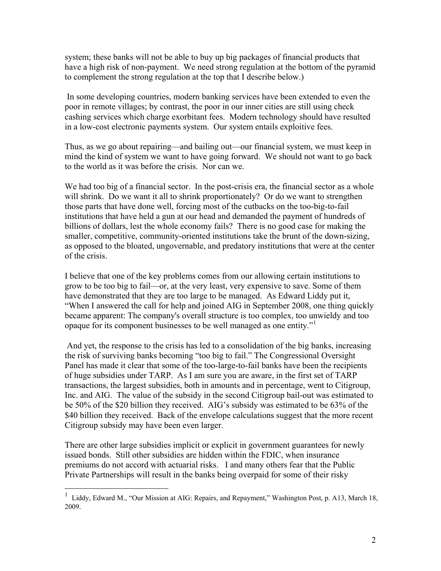system; these banks will not be able to buy up big packages of financial products that have a high risk of non-payment. We need strong regulation at the bottom of the pyramid to complement the strong regulation at the top that I describe below.)

 In some developing countries, modern banking services have been extended to even the poor in remote villages; by contrast, the poor in our inner cities are still using check cashing services which charge exorbitant fees. Modern technology should have resulted in a low-cost electronic payments system. Our system entails exploitive fees.

Thus, as we go about repairing—and bailing out—our financial system, we must keep in mind the kind of system we want to have going forward. We should not want to go back to the world as it was before the crisis. Nor can we.

We had too big of a financial sector. In the post-crisis era, the financial sector as a whole will shrink. Do we want it all to shrink proportionately? Or do we want to strengthen those parts that have done well, forcing most of the cutbacks on the too-big-to-fail institutions that have held a gun at our head and demanded the payment of hundreds of billions of dollars, lest the whole economy fails? There is no good case for making the smaller, competitive, community-oriented institutions take the brunt of the down-sizing, as opposed to the bloated, ungovernable, and predatory institutions that were at the center of the crisis.

I believe that one of the key problems comes from our allowing certain institutions to grow to be too big to fail—or, at the very least, very expensive to save. Some of them have demonstrated that they are too large to be managed. As Edward Liddy put it, "When I answered the call for help and joined AIG in September 2008, one thing quickly became apparent: The company's overall structure is too complex, too unwieldy and too opaque for its component businesses to be well managed as one entity."[1](#page-1-0)

 And yet, the response to the crisis has led to a consolidation of the big banks, increasing the risk of surviving banks becoming "too big to fail." The Congressional Oversight Panel has made it clear that some of the too-large-to-fail banks have been the recipients of huge subsidies under TARP. As I am sure you are aware, in the first set of TARP transactions, the largest subsidies, both in amounts and in percentage, went to Citigroup, Inc. and AIG. The value of the subsidy in the second Citigroup bail-out was estimated to be 50% of the \$20 billion they received. AIG's subsidy was estimated to be 63% of the \$40 billion they received. Back of the envelope calculations suggest that the more recent Citigroup subsidy may have been even larger.

There are other large subsidies implicit or explicit in government guarantees for newly issued bonds. Still other subsidies are hidden within the FDIC, when insurance premiums do not accord with actuarial risks. I and many others fear that the Public Private Partnerships will result in the banks being overpaid for some of their risky

 $\overline{a}$ 

<span id="page-1-0"></span><sup>1</sup> Liddy, Edward M., "Our Mission at AIG: Repairs, and Repayment," Washington Post, p. A13, March 18, 2009.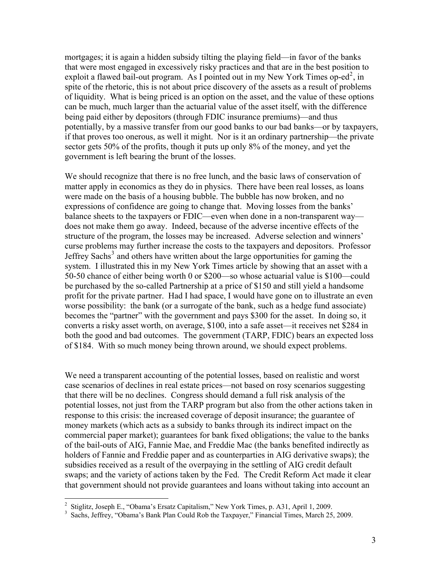mortgages; it is again a hidden subsidy tilting the playing field—in favor of the banks that were most engaged in excessively risky practices and that are in the best position to exploit a flawed bail-out program. As I pointed out in my New York Times op-ed<sup>[2](#page-2-0)</sup>, in spite of the rhetoric, this is not about price discovery of the assets as a result of problems of liquidity. What is being priced is an option on the asset, and the value of these options can be much, much larger than the actuarial value of the asset itself, with the difference being paid either by depositors (through FDIC insurance premiums)—and thus potentially, by a massive transfer from our good banks to our bad banks—or by taxpayers, if that proves too onerous, as well it might. Nor is it an ordinary partnership—the private sector gets 50% of the profits, though it puts up only 8% of the money, and yet the government is left bearing the brunt of the losses.

We should recognize that there is no free lunch, and the basic laws of conservation of matter apply in economics as they do in physics. There have been real losses, as loans were made on the basis of a housing bubble. The bubble has now broken, and no expressions of confidence are going to change that. Moving losses from the banks' balance sheets to the taxpayers or FDIC—even when done in a non-transparent way does not make them go away. Indeed, because of the adverse incentive effects of the structure of the program, the losses may be increased. Adverse selection and winners' curse problems may further increase the costs to the taxpayers and depositors. Professor Jeffrey Sachs<sup>[3](#page-2-1)</sup> and others have written about the large opportunities for gaming the system. I illustrated this in my New York Times article by showing that an asset with a 50-50 chance of either being worth 0 or \$200—so whose actuarial value is \$100—could be purchased by the so-called Partnership at a price of \$150 and still yield a handsome profit for the private partner. Had I had space, I would have gone on to illustrate an even worse possibility: the bank (or a surrogate of the bank, such as a hedge fund associate) becomes the "partner" with the government and pays \$300 for the asset. In doing so, it converts a risky asset worth, on average, \$100, into a safe asset—it receives net \$284 in both the good and bad outcomes. The government (TARP, FDIC) bears an expected loss of \$184. With so much money being thrown around, we should expect problems.

We need a transparent accounting of the potential losses, based on realistic and worst case scenarios of declines in real estate prices—not based on rosy scenarios suggesting that there will be no declines. Congress should demand a full risk analysis of the potential losses, not just from the TARP program but also from the other actions taken in response to this crisis: the increased coverage of deposit insurance; the guarantee of money markets (which acts as a subsidy to banks through its indirect impact on the commercial paper market); guarantees for bank fixed obligations; the value to the banks of the bail-outs of AIG, Fannie Mae, and Freddie Mac (the banks benefited indirectly as holders of Fannie and Freddie paper and as counterparties in AIG derivative swaps); the subsidies received as a result of the overpaying in the settling of AIG credit default swaps; and the variety of actions taken by the Fed. The Credit Reform Act made it clear that government should not provide guarantees and loans without taking into account an

<span id="page-2-0"></span> 2 Stiglitz, Joseph E., "Obama's Ersatz Capitalism," New York Times, p. A31, April 1, 2009.

<span id="page-2-1"></span><sup>&</sup>lt;sup>3</sup> Sachs, Jeffrey, "Obama's Bank Plan Could Rob the Taxpayer," Financial Times, March 25, 2009.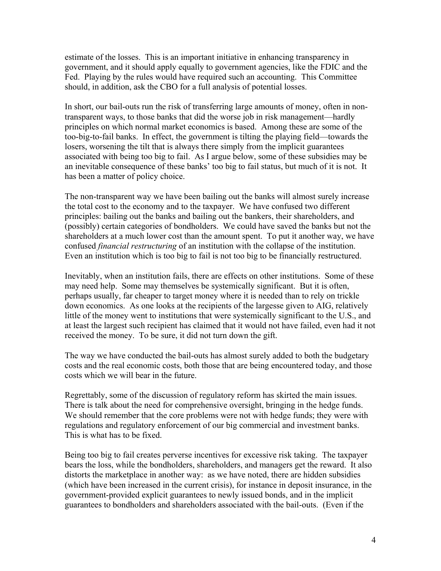estimate of the losses. This is an important initiative in enhancing transparency in government, and it should apply equally to government agencies, like the FDIC and the Fed. Playing by the rules would have required such an accounting. This Committee should, in addition, ask the CBO for a full analysis of potential losses.

In short, our bail-outs run the risk of transferring large amounts of money, often in nontransparent ways, to those banks that did the worse job in risk management—hardly principles on which normal market economics is based. Among these are some of the too-big-to-fail banks. In effect, the government is tilting the playing field—towards the losers, worsening the tilt that is always there simply from the implicit guarantees associated with being too big to fail. As I argue below, some of these subsidies may be an inevitable consequence of these banks' too big to fail status, but much of it is not. It has been a matter of policy choice.

The non-transparent way we have been bailing out the banks will almost surely increase the total cost to the economy and to the taxpayer. We have confused two different principles: bailing out the banks and bailing out the bankers, their shareholders, and (possibly) certain categories of bondholders. We could have saved the banks but not the shareholders at a much lower cost than the amount spent. To put it another way, we have confused *financial restructuring* of an institution with the collapse of the institution. Even an institution which is too big to fail is not too big to be financially restructured.

Inevitably, when an institution fails, there are effects on other institutions. Some of these may need help. Some may themselves be systemically significant. But it is often, perhaps usually, far cheaper to target money where it is needed than to rely on trickle down economics. As one looks at the recipients of the largesse given to AIG, relatively little of the money went to institutions that were systemically significant to the U.S., and at least the largest such recipient has claimed that it would not have failed, even had it not received the money. To be sure, it did not turn down the gift.

The way we have conducted the bail-outs has almost surely added to both the budgetary costs and the real economic costs, both those that are being encountered today, and those costs which we will bear in the future.

Regrettably, some of the discussion of regulatory reform has skirted the main issues. There is talk about the need for comprehensive oversight, bringing in the hedge funds. We should remember that the core problems were not with hedge funds; they were with regulations and regulatory enforcement of our big commercial and investment banks. This is what has to be fixed.

Being too big to fail creates perverse incentives for excessive risk taking. The taxpayer bears the loss, while the bondholders, shareholders, and managers get the reward. It also distorts the marketplace in another way: as we have noted, there are hidden subsidies (which have been increased in the current crisis), for instance in deposit insurance, in the government-provided explicit guarantees to newly issued bonds, and in the implicit guarantees to bondholders and shareholders associated with the bail-outs. (Even if the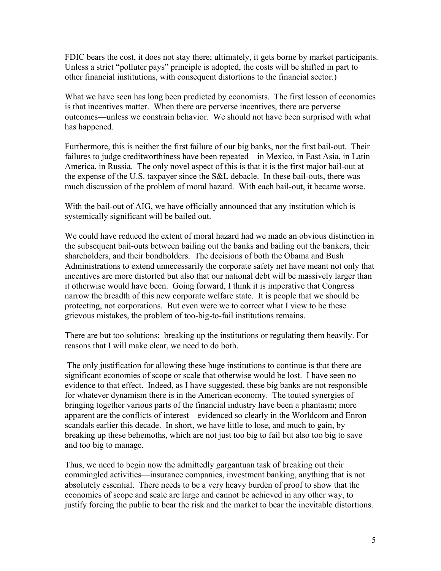FDIC bears the cost, it does not stay there; ultimately, it gets borne by market participants. Unless a strict "polluter pays" principle is adopted, the costs will be shifted in part to other financial institutions, with consequent distortions to the financial sector.)

What we have seen has long been predicted by economists. The first lesson of economics is that incentives matter. When there are perverse incentives, there are perverse outcomes—unless we constrain behavior. We should not have been surprised with what has happened.

Furthermore, this is neither the first failure of our big banks, nor the first bail-out. Their failures to judge creditworthiness have been repeated—in Mexico, in East Asia, in Latin America, in Russia. The only novel aspect of this is that it is the first major bail-out at the expense of the U.S. taxpayer since the S&L debacle. In these bail-outs, there was much discussion of the problem of moral hazard. With each bail-out, it became worse.

With the bail-out of AIG, we have officially announced that any institution which is systemically significant will be bailed out.

We could have reduced the extent of moral hazard had we made an obvious distinction in the subsequent bail-outs between bailing out the banks and bailing out the bankers, their shareholders, and their bondholders. The decisions of both the Obama and Bush Administrations to extend unnecessarily the corporate safety net have meant not only that incentives are more distorted but also that our national debt will be massively larger than it otherwise would have been. Going forward, I think it is imperative that Congress narrow the breadth of this new corporate welfare state. It is people that we should be protecting, not corporations. But even were we to correct what I view to be these grievous mistakes, the problem of too-big-to-fail institutions remains.

There are but too solutions: breaking up the institutions or regulating them heavily. For reasons that I will make clear, we need to do both.

 The only justification for allowing these huge institutions to continue is that there are significant economies of scope or scale that otherwise would be lost. I have seen no evidence to that effect. Indeed, as I have suggested, these big banks are not responsible for whatever dynamism there is in the American economy. The touted synergies of bringing together various parts of the financial industry have been a phantasm; more apparent are the conflicts of interest—evidenced so clearly in the Worldcom and Enron scandals earlier this decade. In short, we have little to lose, and much to gain, by breaking up these behemoths, which are not just too big to fail but also too big to save and too big to manage.

Thus, we need to begin now the admittedly gargantuan task of breaking out their commingled activities—insurance companies, investment banking, anything that is not absolutely essential. There needs to be a very heavy burden of proof to show that the economies of scope and scale are large and cannot be achieved in any other way, to justify forcing the public to bear the risk and the market to bear the inevitable distortions.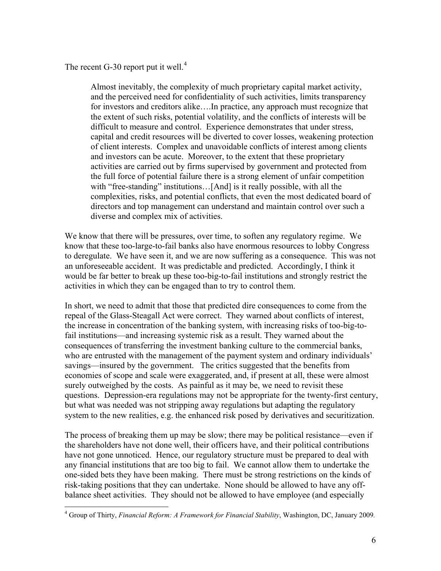The recent G-30 report put it well. $4$ 

 $\overline{a}$ 

Almost inevitably, the complexity of much proprietary capital market activity, and the perceived need for confidentiality of such activities, limits transparency for investors and creditors alike….In practice, any approach must recognize that the extent of such risks, potential volatility, and the conflicts of interests will be difficult to measure and control. Experience demonstrates that under stress, capital and credit resources will be diverted to cover losses, weakening protection of client interests. Complex and unavoidable conflicts of interest among clients and investors can be acute. Moreover, to the extent that these proprietary activities are carried out by firms supervised by government and protected from the full force of potential failure there is a strong element of unfair competition with "free-standing" institutions...[And] is it really possible, with all the complexities, risks, and potential conflicts, that even the most dedicated board of directors and top management can understand and maintain control over such a diverse and complex mix of activities.

We know that there will be pressures, over time, to soften any regulatory regime. We know that these too-large-to-fail banks also have enormous resources to lobby Congress to deregulate. We have seen it, and we are now suffering as a consequence. This was not an unforeseeable accident. It was predictable and predicted. Accordingly, I think it would be far better to break up these too-big-to-fail institutions and strongly restrict the activities in which they can be engaged than to try to control them.

In short, we need to admit that those that predicted dire consequences to come from the repeal of the Glass-Steagall Act were correct. They warned about conflicts of interest, the increase in concentration of the banking system, with increasing risks of too-big-tofail institutions—and increasing systemic risk as a result. They warned about the consequences of transferring the investment banking culture to the commercial banks, who are entrusted with the management of the payment system and ordinary individuals' savings—insured by the government. The critics suggested that the benefits from economies of scope and scale were exaggerated, and, if present at all, these were almost surely outweighed by the costs. As painful as it may be, we need to revisit these questions. Depression-era regulations may not be appropriate for the twenty-first century, but what was needed was not stripping away regulations but adapting the regulatory system to the new realities, e.g. the enhanced risk posed by derivatives and securitization.

The process of breaking them up may be slow; there may be political resistance—even if the shareholders have not done well, their officers have, and their political contributions have not gone unnoticed. Hence, our regulatory structure must be prepared to deal with any financial institutions that are too big to fail. We cannot allow them to undertake the one-sided bets they have been making. There must be strong restrictions on the kinds of risk-taking positions that they can undertake. None should be allowed to have any offbalance sheet activities. They should not be allowed to have employee (and especially

<span id="page-5-0"></span><sup>4</sup> Group of Thirty, *Financial Reform: A Framework for Financial Stability*, Washington, DC, January 2009*.*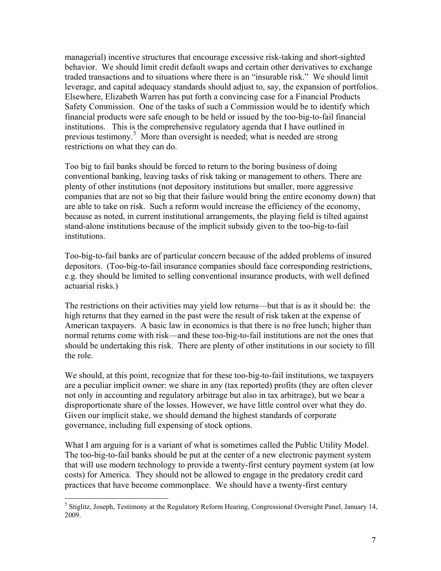managerial) incentive structures that encourage excessive risk-taking and short-sighted behavior. We should limit credit default swaps and certain other derivatives to exchange traded transactions and to situations where there is an "insurable risk." We should limit leverage, and capital adequacy standards should adjust to, say, the expansion of portfolios. Elsewhere, Elizabeth Warren has put forth a convincing case for a Financial Products Safety Commission. One of the tasks of such a Commission would be to identify which financial products were safe enough to be held or issued by the too-big-to-fail financial institutions. This is the comprehensive regulatory agenda that I have outlined in previous testimony.<sup>[5](#page-6-0)</sup> More than oversight is needed; what is needed are strong restrictions on what they can do.

Too big to fail banks should be forced to return to the boring business of doing conventional banking, leaving tasks of risk taking or management to others. There are plenty of other institutions (not depository institutions but smaller, more aggressive companies that are not so big that their failure would bring the entire economy down) that are able to take on risk. Such a reform would increase the efficiency of the economy, because as noted, in current institutional arrangements, the playing field is tilted against stand-alone institutions because of the implicit subsidy given to the too-big-to-fail institutions.

Too-big-to-fail banks are of particular concern because of the added problems of insured depositors. (Too-big-to-fail insurance companies should face corresponding restrictions, e.g. they should be limited to selling conventional insurance products, with well defined actuarial risks.)

The restrictions on their activities may yield low returns—but that is as it should be: the high returns that they earned in the past were the result of risk taken at the expense of American taxpayers. A basic law in economics is that there is no free lunch; higher than normal returns come with risk—and these too-big-to-fail institutions are not the ones that should be undertaking this risk. There are plenty of other institutions in our society to fill the role.

We should, at this point, recognize that for these too-big-to-fail institutions, we taxpayers are a peculiar implicit owner: we share in any (tax reported) profits (they are often clever not only in accounting and regulatory arbitrage but also in tax arbitrage), but we bear a disproportionate share of the losses. However, we have little control over what they do. Given our implicit stake, we should demand the highest standards of corporate governance, including full expensing of stock options.

What I am arguing for is a variant of what is sometimes called the Public Utility Model. The too-big-to-fail banks should be put at the center of a new electronic payment system that will use modern technology to provide a twenty-first century payment system (at low costs) for America. They should not be allowed to engage in the predatory credit card practices that have become commonplace. We should have a twenty-first century

 $\overline{a}$ 

<span id="page-6-0"></span><sup>&</sup>lt;sup>5</sup> Stiglitz, Joseph, Testimony at the Regulatory Reform Hearing, Congressional Oversight Panel, January 14, 2009.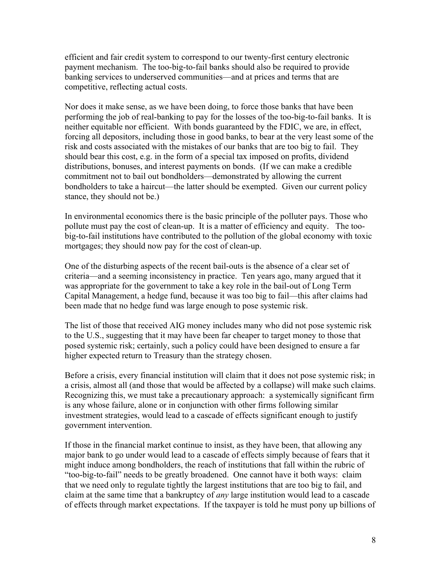efficient and fair credit system to correspond to our twenty-first century electronic payment mechanism. The too-big-to-fail banks should also be required to provide banking services to underserved communities—and at prices and terms that are competitive, reflecting actual costs.

Nor does it make sense, as we have been doing, to force those banks that have been performing the job of real-banking to pay for the losses of the too-big-to-fail banks. It is neither equitable nor efficient. With bonds guaranteed by the FDIC, we are, in effect, forcing all depositors, including those in good banks, to bear at the very least some of the risk and costs associated with the mistakes of our banks that are too big to fail. They should bear this cost, e.g. in the form of a special tax imposed on profits, dividend distributions, bonuses, and interest payments on bonds. (If we can make a credible commitment not to bail out bondholders—demonstrated by allowing the current bondholders to take a haircut—the latter should be exempted. Given our current policy stance, they should not be.)

In environmental economics there is the basic principle of the polluter pays. Those who pollute must pay the cost of clean-up. It is a matter of efficiency and equity. The toobig-to-fail institutions have contributed to the pollution of the global economy with toxic mortgages; they should now pay for the cost of clean-up.

One of the disturbing aspects of the recent bail-outs is the absence of a clear set of criteria—and a seeming inconsistency in practice. Ten years ago, many argued that it was appropriate for the government to take a key role in the bail-out of Long Term Capital Management, a hedge fund, because it was too big to fail—this after claims had been made that no hedge fund was large enough to pose systemic risk.

The list of those that received AIG money includes many who did not pose systemic risk to the U.S., suggesting that it may have been far cheaper to target money to those that posed systemic risk; certainly, such a policy could have been designed to ensure a far higher expected return to Treasury than the strategy chosen.

Before a crisis, every financial institution will claim that it does not pose systemic risk; in a crisis, almost all (and those that would be affected by a collapse) will make such claims. Recognizing this, we must take a precautionary approach: a systemically significant firm is any whose failure, alone or in conjunction with other firms following similar investment strategies, would lead to a cascade of effects significant enough to justify government intervention.

If those in the financial market continue to insist, as they have been, that allowing any major bank to go under would lead to a cascade of effects simply because of fears that it might induce among bondholders, the reach of institutions that fall within the rubric of "too-big-to-fail" needs to be greatly broadened. One cannot have it both ways: claim that we need only to regulate tightly the largest institutions that are too big to fail, and claim at the same time that a bankruptcy of *any* large institution would lead to a cascade of effects through market expectations. If the taxpayer is told he must pony up billions of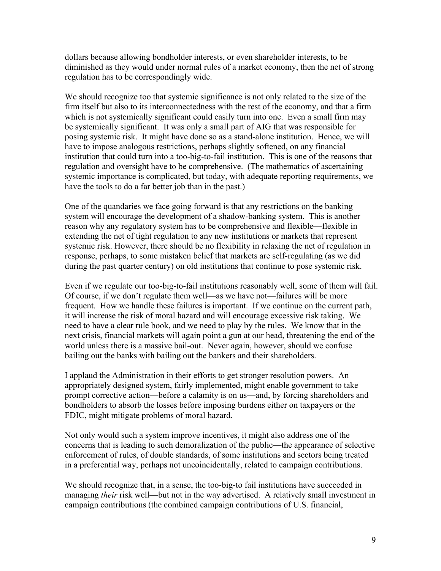dollars because allowing bondholder interests, or even shareholder interests, to be diminished as they would under normal rules of a market economy, then the net of strong regulation has to be correspondingly wide.

We should recognize too that systemic significance is not only related to the size of the firm itself but also to its interconnectedness with the rest of the economy, and that a firm which is not systemically significant could easily turn into one. Even a small firm may be systemically significant. It was only a small part of AIG that was responsible for posing systemic risk. It might have done so as a stand-alone institution. Hence, we will have to impose analogous restrictions, perhaps slightly softened, on any financial institution that could turn into a too-big-to-fail institution. This is one of the reasons that regulation and oversight have to be comprehensive. (The mathematics of ascertaining systemic importance is complicated, but today, with adequate reporting requirements, we have the tools to do a far better job than in the past.)

One of the quandaries we face going forward is that any restrictions on the banking system will encourage the development of a shadow-banking system. This is another reason why any regulatory system has to be comprehensive and flexible—flexible in extending the net of tight regulation to any new institutions or markets that represent systemic risk. However, there should be no flexibility in relaxing the net of regulation in response, perhaps, to some mistaken belief that markets are self-regulating (as we did during the past quarter century) on old institutions that continue to pose systemic risk.

Even if we regulate our too-big-to-fail institutions reasonably well, some of them will fail. Of course, if we don't regulate them well—as we have not—failures will be more frequent. How we handle these failures is important. If we continue on the current path, it will increase the risk of moral hazard and will encourage excessive risk taking. We need to have a clear rule book, and we need to play by the rules. We know that in the next crisis, financial markets will again point a gun at our head, threatening the end of the world unless there is a massive bail-out. Never again, however, should we confuse bailing out the banks with bailing out the bankers and their shareholders.

I applaud the Administration in their efforts to get stronger resolution powers. An appropriately designed system, fairly implemented, might enable government to take prompt corrective action—before a calamity is on us—and, by forcing shareholders and bondholders to absorb the losses before imposing burdens either on taxpayers or the FDIC, might mitigate problems of moral hazard.

Not only would such a system improve incentives, it might also address one of the concerns that is leading to such demoralization of the public—the appearance of selective enforcement of rules, of double standards, of some institutions and sectors being treated in a preferential way, perhaps not uncoincidentally, related to campaign contributions.

We should recognize that, in a sense, the too-big-to fail institutions have succeeded in managing *their* risk well—but not in the way advertised. A relatively small investment in campaign contributions (the combined campaign contributions of U.S. financial,